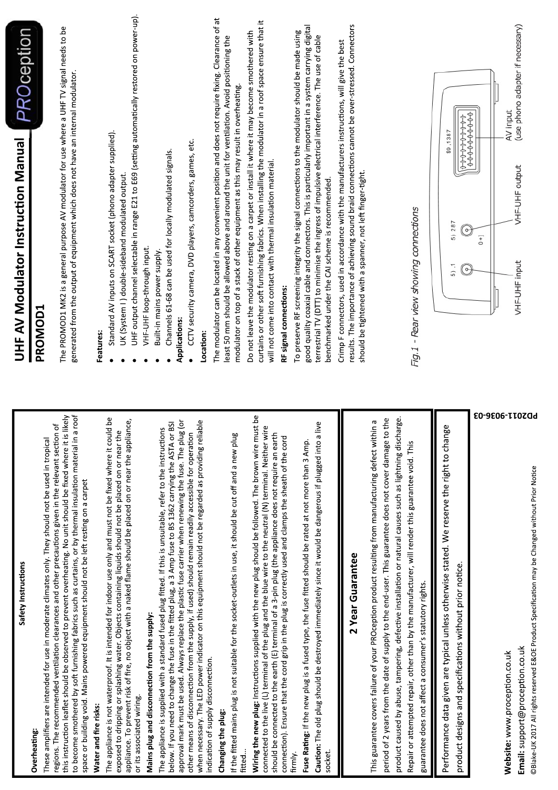| Safety Instructions                                                                                                                                                                                                                                                                                                                                                                                                                                    | PROception<br>UHF AV Modulator Instruction Manual                                                                                                                                                                                                                                                                                                                    |
|--------------------------------------------------------------------------------------------------------------------------------------------------------------------------------------------------------------------------------------------------------------------------------------------------------------------------------------------------------------------------------------------------------------------------------------------------------|----------------------------------------------------------------------------------------------------------------------------------------------------------------------------------------------------------------------------------------------------------------------------------------------------------------------------------------------------------------------|
| Overheating:                                                                                                                                                                                                                                                                                                                                                                                                                                           | <b>PROMOD1</b>                                                                                                                                                                                                                                                                                                                                                       |
| this instruction leaflet should be observed to prevent overheating. No unit should be fixed where it is likely<br>to become smothered by soft furnishing fabrics such as curtains, or by thermal insulation material in a roof<br>regions. The recommended ventilation clearances and other precautions given in the relevant section of<br>These amplifiers are intended for use in moderate climates only. They should not be used in tropical       | The PROMOD1 MK2 is a general purpose AV modulator for use where a UHF TV signal needs to be<br>generated from the output of equipment which does not have an internal modulator.                                                                                                                                                                                     |
| space or building void. Mains powered equipment should not be left resting on a carpet<br>Water and fire risks:                                                                                                                                                                                                                                                                                                                                        |                                                                                                                                                                                                                                                                                                                                                                      |
| The appliance is not waterproof. It is intended for indoor use only and must not be fixed where it could be<br>appliance. To prevent risk of fire, no object with a naked flame should be placed on or near the appliance,<br>exposed to dripping or splashing water. Objects containing liquids should not be placed on or near the<br>or its associated wiring.                                                                                      | UHF output channel selectable in range E21 to E69 (setting automatically restored on power-up).<br>Standard AV inputs on SCART socket (phono adapter supplied).<br>UK (System I) double-sideband modulated output.<br>Features:                                                                                                                                      |
| Mains plug and disconnection from the supply:                                                                                                                                                                                                                                                                                                                                                                                                          | VHF-UHF loop-through input.                                                                                                                                                                                                                                                                                                                                          |
| below. If you need to change the fuse in the fitted plug, a 3 Amp fuse to BS 1362 carrying the ASTA or BSI<br>The appliance is supplied with a standard fused plug fitted. If this is unsuitable, refer to the instructions                                                                                                                                                                                                                            | Channels 61-68 can be used for locally modulated signals.<br>Built-in mains power supply.                                                                                                                                                                                                                                                                            |
| approval mark must be used. Always replace the plastic fuse carrier when renewing the fuse. The plug (or<br>when necessary. The LED power indicator on this equipment should not be regarded as providing reliable<br>other means of disconnection from the supply, if used) should remain readily accessible for operation                                                                                                                            | CCTV security camera, DVD players, camcorders, games, etc.<br>Applications:<br>Location:                                                                                                                                                                                                                                                                             |
| If the fitted mains plug is not suitable for the socket-outlets in use, it should be cut off and a new plug<br>indication of supply disconnection.<br>Changing the plug:                                                                                                                                                                                                                                                                               | The modulator can be located in any convenient position and does not require fixing. Clearance of at<br>least 50 mm should be allowed above and around the unit for ventilation. Avoid positioning the<br>modulator on top of a stack of other equipment as this may result in overheating.                                                                          |
| ٩q<br>Wiring the new plug: Instructions supplied with the new plug should be followed. The brown wire must<br>connected to the live (L) terminal of the plug and the blue wire to the neutral (N) terminal. Neither wire<br>should be connected to the earth (E) terminal of a 3-pin plug (the appliance does not require an earth<br>connection). Ensure that the cord grip in the plug is correctly used and clamps the sheath of the cord<br>fitted | curtains or other soft furnishing fabrics. When installing the modulator in a roof space ensure that it<br>Do not leave the modulator resting on a carpet or install it where it may become smothered with<br>will not come into contact with thermal insulation material.<br>RF signal connections:                                                                 |
| <b>Caution:</b> The old plug should be destroyed immediately since it would be dangerous if plugged into a live<br>Fuse Rating: If the new plug is a fused type, the fuse fitted should be rated at not more than 3 Amp.<br>socket.<br>firmly.                                                                                                                                                                                                         | good quality coaxial cable and connectors. This is particularly important in a system carrying digital<br>To preserve RF screening integrity the signal connections to the modulator should be made using<br>terrestrial TV (DTT) to minimise the ingress of impulsive electrical interference. The use of cable<br>benchmarked under the CAI scheme is recommended. |
| 2 Year Guarantee                                                                                                                                                                                                                                                                                                                                                                                                                                       | results. The importance of achieving sound braid connections cannot be over-stressed. Connectors<br>Crimp F connectors, used in accordance with the manufacturers instructions, will give the best<br>should be tightened with a spanner, not left finger-tight.                                                                                                     |
| product caused by abuse, tampering, defective installation or natural causes such as lightning discharge.<br>period of 2 years from the date of supply to the end-user. This guarantee does not cover damage to the<br>This guarantee covers failure of your PROception product resulting from manufacturing defect within a<br>Repair or attempted repair, other than by the manufacturer, will render this guarantee void. This                      | - Rear view showing connections<br>Fig.1                                                                                                                                                                                                                                                                                                                             |
| guarantee does not affect a consumer's statutory rights.                                                                                                                                                                                                                                                                                                                                                                                               |                                                                                                                                                                                                                                                                                                                                                                      |
| Performance data given are typical unless otherwise stated. We reserve the right to change<br>product designs and specifications without prior notice.                                                                                                                                                                                                                                                                                                 | $0 - 0 - 0 - 0 - 0 - 0 - 0 - 0 - 0$<br>\$9,1387<br>5) 287<br>$\Theta$<br>5) , 1<br><sub>o</sub>                                                                                                                                                                                                                                                                      |
|                                                                                                                                                                                                                                                                                                                                                                                                                                                        | 444444444<br>$^{-+}$                                                                                                                                                                                                                                                                                                                                                 |
| F0-9E06-TT0ZQd<br>@Blake-UK 2017 All rights reserved E&OE Product Specification may be Changed without Prior Notice<br>Email: support@proception.co.uk<br>Website: www.proception.co.uk                                                                                                                                                                                                                                                                | (use phono adapter if necessary)<br>AV input<br>VHF-UHF output<br>VHF-UHF input                                                                                                                                                                                                                                                                                      |